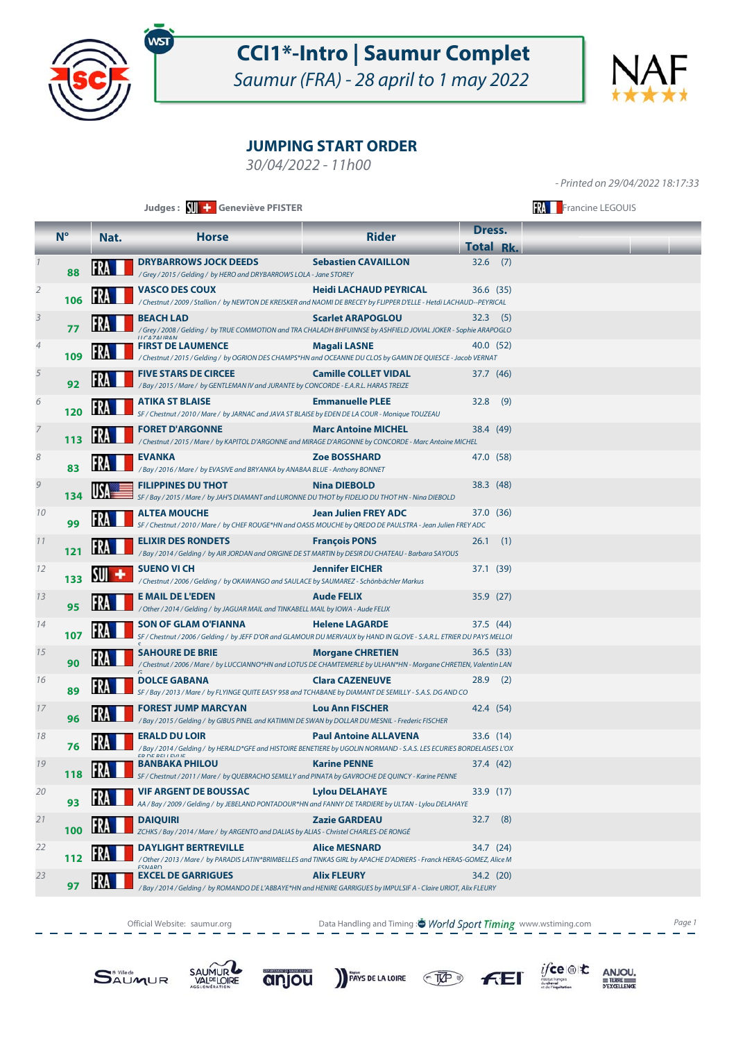

### **CCI1\*-Intro | Saumur Complet**

Saumur (FRA) - 28 april to 1 may 2022



#### **JUMPING START ORDER**

30/04/2022 - 11h00

**N° Nat. Horse Rider Dress. Total Rk. Judges : SUI + Geneviève PFISTER** THE SERVIEW SERVIEW SERVIEW SERVIEW SERVIEW SERVIEW SERVIEW SERVIEW SERVIEW SERVIEW SERVIEW SERVIEW SERVIEW SERVIEW SERVIEW SERVIEW SERVIEW SERVIEW SERVIEW SERVIEW SERVIEW SERVIEW SERVIEW - Printed on 29/04/2022 18:17:33 **DRYBARROWS JOCK DEEDS** Sebastien CAVAILLON 32.6 (7) **88** / Grey / 2015 / Gelding / by HERO and DRYBARROWS LOLA - Jane STOREY **VASCO DES COUX Heidi LACHAUD PEYRICAL** 2 36.6 (35) **106** / Chestnut / 2009 / Stallion / by NEWTON DE KREISKER and NAOMI DE BRECEY by FLIPPER D'ELLE - Hetdi LACHAUD--PEYRICAL **BEACH LAD** Scarlet **ARAPOGLOU** 32.3 (5) **77** / Grey / 2008 / Gelding / by TRUE COMMOTION and TRA CHALADH BHFUINNSE by ASHFIELD JOVIAL JOKER - Sophie ARAPOGLO 4 **FIRST DE LAUMENCE Magali LASNE** 40.0 (52) **109** / Chestnut / 2015 / Gelding / by OGRION DES CHAMPS\*HN and OCEANNE DU CLOS by GAMIN DE QUIESCE - Jacob VERNAT **FIVE STARS DE CIRCEE CAMILE COLLET VIDAL** 37.7 (46) **92** / Bay / 2015 / Mare / by GENTLEMAN IV and JURANTE by CONCORDE - E.A.R.L. HARAS TREIZE **ATIKA ST BLAISE Emmanuelle PLEE** 32.8 (9) **120** SF / Chestnut / 2010 / Mare / by JARNAC and JAVA ST BLAISE by EDEN DE LA COUR - Monique TOUZEAU **FORET D'ARGONNE Marc Antoine MICHEL** 38.4 (49) 113 **RA**  / Chestnut / 2015 / Mare / by KAPITOL D'ARGONNE and MIRAGE D'ARGONNE by CONCORDE - Marc Antoine MICHEL **EVANKA Zoe BOSSHARD** 47.0 (58) **83** / Bay / 2016 / Mare / by EVASIVE and BRYANKA by ANABAA BLUE - Anthony BONNET **FILIPPINES DU THOT Nina DIEBOLD** 38.3 (48) **134** SF / Bay / 2015 / Mare / by JAH'S DIAMANT and LURONNE DU THOT by FIDELIO DU THOT HN - Nina DIEBOLD 10 **ALTEA MOUCHE Jean Julien FREY ADC** 37.0 (36) **99** SF / Chestnut / 2010 / Mare / by CHEF ROUGE\*HN and OASIS MOUCHE by QREDO DE PAULSTRA - Jean Julien FREY ADC **ELIXIR DES RONDETS François PONS** 26.1 (1) **121** / Bay / 2014 / Gelding / by AIR JORDAN and ORIGINE DE ST MARTIN by DESIR DU CHATEAU - Barbara SAYOUS 12 **GILLER SUENO VI CH Jennifer EICHER** 37.1 (39) 133 **All**  / Chestnut / 2006 / Gelding / by OKAWANGO and SAULACE by SAUMAREZ - Schönbächler Markus 13 **E MAIL DE L'EDEN Aude FELIX** 35.9 (27) **95** / Other / 2014 / Gelding / by JAGUAR MAIL and TINKABELL MAIL by IOWA - Aude FELIX **SON OF GLAM O'FIANNA Helene LAGARDE** 37.5 (44) 107 **R** SF / Chestnut / 2006 / Gelding / by JEFF D'OR and GLAMOUR DU MERVAUX by HAND IN GLOVE - S.A.R.L. ETRIER DU PAYS MELLOI **SAHOURE DE BRIE SAHOURE DE BRIE Morgane CHRETIEN** 36.5 (33) **90** / Chestnut / 2006 / Mare / by LUCCIANNO\*HN and LOTUS DE CHAMTEMERLE by ULHAN\*HN - Morgane CHRETIEN, Valentin LAN **DOLCE GABANA DOLCE GABANA Clara CAZENEUVE** 28.9 (2) **89** SF / Bay / 2013 / Mare / by FLYINGE QUITE EASY 958 and TCHABANE by DIAMANT DE SEMILLY - S.A.S. DG AND CO **FOREST JUMP MARCYAN Lou Ann FISCHER** 42.4 (54) **96** / Bay / 2015 / Gelding / by GIBUS PINEL and KATIMINI DE SWAN by DOLLAR DU MESNIL - Frederic FISCHER **ERALD DU LOIR Paul Antoine ALLAVENA** 33.6 (14) **76** / Bay / 2014 / Gelding / by HERALD\*GFE and HISTOIRE BENETIERE by UGOLIN NORMAND - S.A.S. LES ECURIES BORDELAISES L'OX ER DE BELLEVUE **BANBAKA PHILOU Karine PENNE** 19 37.4 (42) **118** SF / Chestnut / 2011 / Mare / by QUEBRACHO SEMILLY and PINATA by GAVROCHE DE QUINCY - Karine PENNE **VIF ARGENT DE BOUSSAC Lylou DELAHAYE** 33.9 (17) **93** AA / Bay / 2009 / Gelding / by JEBELAND PONTADOUR\*HN and FANNY DE TARDIERE by ULTAN - Lylou DELAHAYE **DAIQUIRI Zazie GARDEAU** 21 32.7 (8) **100** ZCHKS / Bay / 2014 / Mare / by ARGENTO and DALIAS by ALIAS - Christel CHARLES-DE RONGÉ 22 **DAYLIGHT BERTREVILLE Alice MESNARD** 34.7 (24) **112** / Other / 2013 / Mare / by PARADIS LATIN\*BRIMBELLES and TINKAS GIRL by APACHE D'ADRIERS - Franck HERAS-GOMEZ, Alice M 23 **EXCEL DE GARRIGUES Alix FLEURY** 34.2 (20) **97** / Bay / 2014 / Gelding / by ROMANDO DE L'ABBAYE\*HN and HENIRE GARRIGUES by IMPULSIF A - Claire URIOT, Alix FLEURY

Official Website: saumur.org **Data Handling and Timing : World Sport Timing** www.wstiming.com Page 1







PAYS DE LA LOIRE  $C$ 



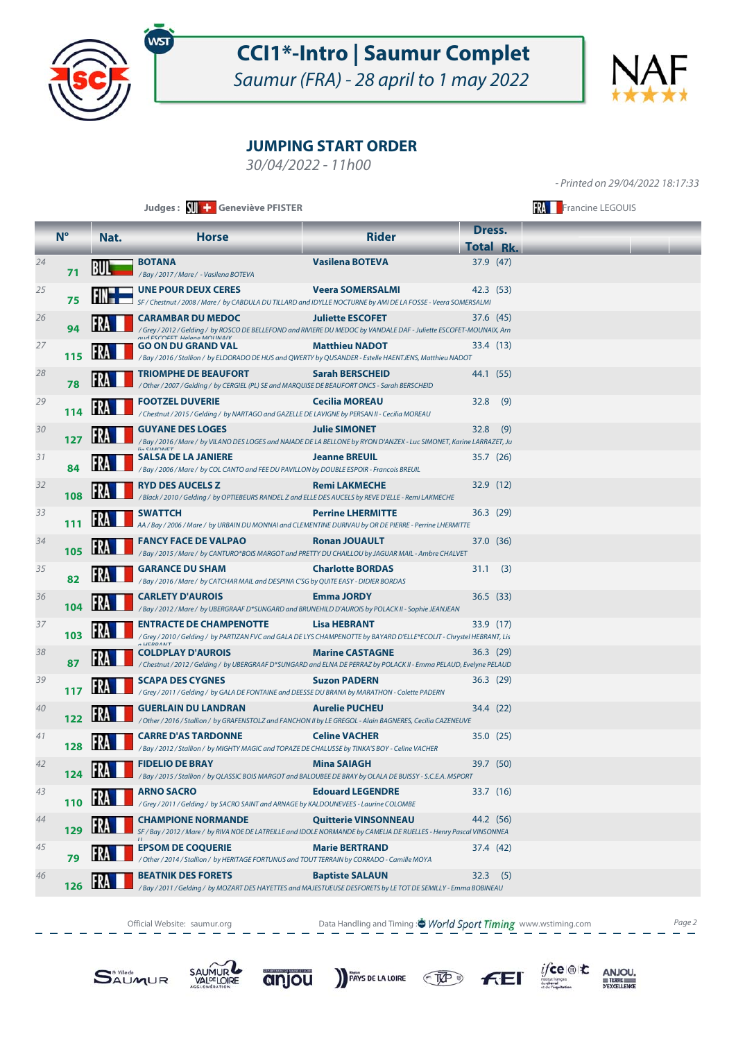

# **CCI1\*-Intro | Saumur Complet**

Saumur (FRA) - 28 april to 1 may 2022



#### **JUMPING START ORDER**

30/04/2022 - 11h00

- Printed on 29/04/2022 18:17:33

|    | Judges: With Geneviève PFISTER |      |                                                                                                                                                                                |                             |                               | <b>FRA</b> Francine LEGOUIS |  |  |  |
|----|--------------------------------|------|--------------------------------------------------------------------------------------------------------------------------------------------------------------------------------|-----------------------------|-------------------------------|-----------------------------|--|--|--|
|    | $N^{\circ}$                    | Nat. | <b>Horse</b>                                                                                                                                                                   | <b>Rider</b>                | Dress.                        |                             |  |  |  |
| 24 |                                |      | <b>BOTANA</b>                                                                                                                                                                  | <b>Vasilena BOTEVA</b>      | <b>Total Rk.</b><br>37.9 (47) |                             |  |  |  |
|    | 71                             | ĸи   | /Bay/2017/Mare/ - Vasilena BOTEVA                                                                                                                                              |                             |                               |                             |  |  |  |
| 25 | 75                             |      | <b>UNE POUR DEUX CERES</b><br>SF / Chestnut / 2008 / Mare / by CABDULA DU TILLARD and IDYLLE NOCTURNE by AMI DE LA FOSSE - Veera SOMERSALMI                                    | <b>Veera SOMERSALMI</b>     | 42.3 (53)                     |                             |  |  |  |
| 26 | 94                             |      | <b>CARAMBAR DU MEDOC</b><br>/ Grey / 2012 / Gelding / by ROSCO DE BELLEFOND and RIVIERE DU MEDOC by VANDALE DAF - Juliette ESCOFET-MOUNAIX, Arn<br>מוגל בכרחבבד Holong MOUNAIV | <b>Juliette ESCOFET</b>     | 37.6 (45)                     |                             |  |  |  |
| 27 | 115                            |      | GO ON DU GRAND VAL<br>/ Bay / 2016 / Stallion / by ELDORADO DE HUS and QWERTY by QUSANDER - Estelle HAENTJENS, Matthieu NADOT                                                  | <b>Matthieu NADOT</b>       | 33.4 (13)                     |                             |  |  |  |
| 28 | 78                             |      | TRIOMPHE DE BEAUFORT<br>/ Other / 2007 / Gelding / by CERGIEL (PL) SE and MARQUISE DE BEAUFORT ONCS - Sarah BERSCHEID                                                          | <b>Sarah BERSCHEID</b>      | 44.1 (55)                     |                             |  |  |  |
| 29 | 114                            |      | <b>FOOTZEL DUVERIE</b><br>/ Chestnut / 2015 / Gelding / by NARTAGO and GAZELLE DE LAVIGNE by PERSAN II - Cecilia MOREAU                                                        | <b>Cecilia MOREAU</b>       | (9)<br>32.8                   |                             |  |  |  |
| 30 | 127                            |      | <b>GUYANE DES LOGES</b><br>/ Bay / 2016 / Mare / by VILANO DES LOGES and NAIADE DE LA BELLONE by RYON D'ANZEX - Luc SIMONET, Karine LARRAZET, Ju                               | <b>Julie SIMONET</b>        | 32.8<br>(9)                   |                             |  |  |  |
| 31 | 84                             |      | <b>IIO CIMONIET</b><br><b>SALSA DE LA JANIERE</b><br>/ Bay / 2006 / Mare / by COL CANTO and FEE DU PAVILLON by DOUBLE ESPOIR - Francois BREUIL                                 | <b>Jeanne BREUIL</b>        | 35.7 (26)                     |                             |  |  |  |
| 32 | 108                            |      | <b>RYD DES AUCELS Z</b><br>/ Black / 2010 / Gelding / by OPTIEBEURS RANDEL Z and ELLE DES AUCELS by REVE D'ELLE - Remi LAKMECHE                                                | <b>Remi LAKMECHE</b>        | 32.9(12)                      |                             |  |  |  |
| 33 | 111                            |      | <b>SWATTCH</b><br>AA / Bay / 2006 / Mare / by URBAIN DU MONNAI and CLEMENTINE DURIVAU by OR DE PIERRE - Perrine LHERMITTE                                                      | <b>Perrine LHERMITTE</b>    | 36.3 (29)                     |                             |  |  |  |
| 34 | 105                            |      | <b>FANCY FACE DE VALPAO</b><br>/ Bay / 2015 / Mare / by CANTURO*BOIS MARGOT and PRETTY DU CHAILLOU by JAGUAR MAIL - Ambre CHALVET                                              | <b>Ronan JOUAULT</b>        | 37.0 (36)                     |                             |  |  |  |
| 35 | 82                             |      | <b>GARANCE DU SHAM</b><br>/Bay / 2016 / Mare / by CATCHAR MAIL and DESPINA C'SG by QUITE EASY - DIDIER BORDAS                                                                  | <b>Charlotte BORDAS</b>     | 31.1 (3)                      |                             |  |  |  |
| 36 | 104                            |      | <b>CARLETY D'AUROIS</b><br>/ Bay / 2012 / Mare / by UBERGRAAF D*SUNGARD and BRUNEHILD D'AUROIS by POLACK II - Sophie JEANJEAN                                                  | <b>Emma JORDY</b>           | 36.5(33)                      |                             |  |  |  |
| 37 | 103                            |      | <b>ENTRACTE DE CHAMPENOTTE</b><br>Grey / 2010 / Gelding / by PARTIZAN FVC and GALA DE LYS CHAMPENOTTE by BAYARD D'ELLE*ECOLIT - Chrystel HEBRANT, Lis /                        | Lisa HEBRANT                | 33.9 (17)                     |                             |  |  |  |
| 38 | 87                             |      | <b>AUCDDANT</b><br><b>COLDPLAY D'AUROIS</b><br>/ Chestnut / 2012 / Gelding / by UBERGRAAF D*SUNGARD and ELNA DE PERRAZ by POLACK II - Emma PELAUD, Evelyne PELAUD              | <b>Marine CASTAGNE</b>      | 36.3 (29)                     |                             |  |  |  |
| 39 | 117                            |      | <b>SCAPA DES CYGNES</b><br>/ Grey / 2011 / Gelding / by GALA DE FONTAINE and DEESSE DU BRANA by MARATHON - Colette PADERN                                                      | <b>Suzon PADERN</b>         | 36.3 (29)                     |                             |  |  |  |
| 40 | 122                            |      | <b>GUERLAIN DU LANDRAN</b><br>/ Other / 2016 / Stallion / by GRAFENSTOLZ and FANCHON II by LE GREGOL - Alain BAGNERES, Cecilia CAZENEUVE                                       | <b>Aurelie PUCHEU</b>       | 34.4 (22)                     |                             |  |  |  |
| 41 | 128                            |      | <b>CARRE D'AS TARDONNE</b><br>/ Bay / 2012 / Stallion / by MIGHTY MAGIC and TOPAZE DE CHALUSSE by TINKA'S BOY - Celine VACHER                                                  | <b>Celine VACHER</b>        | 35.0 (25)                     |                             |  |  |  |
| 42 | 124                            |      | <b>FIDELIO DE BRAY</b><br>/ Bay / 2015 / Stallion / by QLASSIC BOIS MARGOT and BALOUBEE DE BRAY by OLALA DE BUISSY - S.C.E.A. MSPORT                                           | <b>Mina SAIAGH</b>          | 39.7 (50)                     |                             |  |  |  |
| 43 | 110                            |      | <b>ARNO SACRO</b><br>/Grey / 2011 / Gelding / by SACRO SAINT and ARNAGE by KALDOUNEVEES - Laurine COLOMBE                                                                      | <b>Edouard LEGENDRE</b>     | 33.7 (16)                     |                             |  |  |  |
| 44 | 129                            |      | <b>CHAMPIONE NORMANDE</b><br>SF / Bay / 2012 / Mare / by RIVA NOE DE LATREILLE and IDOLE NORMANDE by CAMELIA DE RUELLES - Henry Pascal VINSONNEA                               | <b>Quitterie VINSONNEAU</b> | 44.2 (56)                     |                             |  |  |  |
| 45 | 79                             |      | <b>EPSOM DE COQUERIE</b><br>/ Other / 2014 / Stallion / by HERITAGE FORTUNUS and TOUT TERRAIN by CORRADO - Camille MOYA                                                        | <b>Marie BERTRAND</b>       | 37.4 (42)                     |                             |  |  |  |
| 46 | 126                            |      | <b>BEATNIK DES FORETS</b><br>/ Bay / 2011 / Gelding / by MOZART DES HAYETTES and MAJESTUEUSE DESFORETS by LE TOT DE SEMILLY - Emma BOBINEAU                                    | <b>Baptiste SALAUN</b>      | (5)<br>32.3                   |                             |  |  |  |

Official Website: saumur.org **Data Handling and Timing : World Sport Timing** www.wstiming.com Page 2





anjou

PAYS DE LA LOIRE TAP





ANJOU.

TERRE<br>D'EXCELLENCE